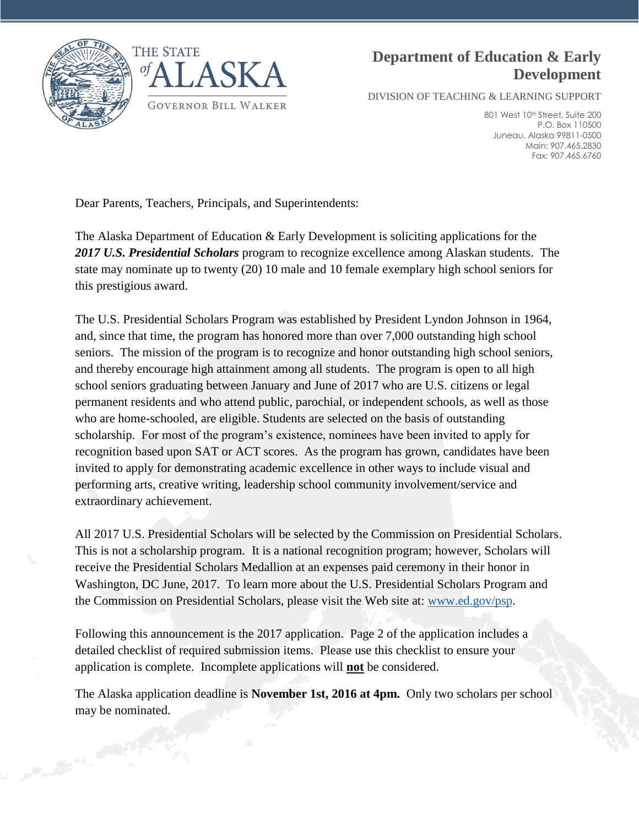



# **Department of Education & Early Development**

DIVISION OF TEACHING & LEARNING SUPPORT

801 West 10th Street, Suite 200 P.O. Box 110500 Juneau, Alaska 99811-0500 Main: 907.465.2830 Fax: 907.465.6760

Dear Parents, Teachers, Principals, and Superintendents:

The Alaska Department of Education & Early Development is soliciting applications for the *2017 U.S. Presidential Scholars* program to recognize excellence among Alaskan students. The state may nominate up to twenty (20) 10 male and 10 female exemplary high school seniors for this prestigious award.

The U.S. Presidential Scholars Program was established by President Lyndon Johnson in 1964, and, since that time, the program has honored more than over 7,000 outstanding high school seniors. The mission of the program is to recognize and honor outstanding high school seniors, and thereby encourage high attainment among all students. The program is open to all high school seniors graduating between January and June of 2017 who are U.S. citizens or legal permanent residents and who attend public, parochial, or independent schools, as well as those who are home-schooled, are eligible. Students are selected on the basis of outstanding scholarship. For most of the program's existence, nominees have been invited to apply for recognition based upon SAT or ACT scores. As the program has grown, candidates have been invited to apply for demonstrating academic excellence in other ways to include visual and performing arts, creative writing, leadership school community involvement/service and extraordinary achievement.

All 2017 U.S. Presidential Scholars will be selected by the Commission on Presidential Scholars. This is not a scholarship program. It is a national recognition program; however, Scholars will receive the Presidential Scholars Medallion at an expenses paid ceremony in their honor in Washington, DC June, 2017. To learn more about the U.S. Presidential Scholars Program and the Commission on Presidential Scholars, please visit the Web site at: [www.ed.gov/psp.](http://www.ed.gov/psp)

Following this announcement is the 2017 application. Page 2 of the application includes a detailed checklist of required submission items. Please use this checklist to ensure your application is complete. Incomplete applications will **not** be considered.

The Alaska application deadline is **November 1st, 2016 at 4pm.** Only two scholars per school may be nominated.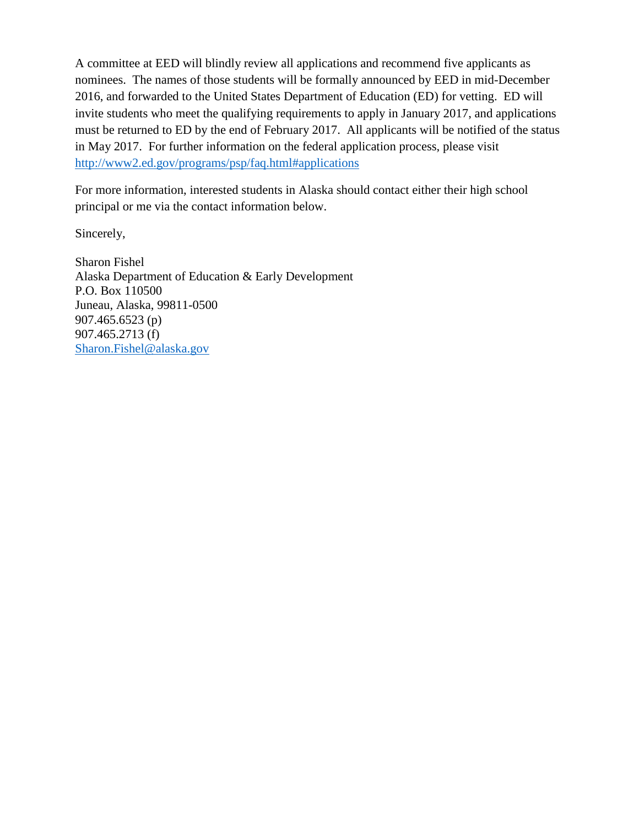A committee at EED will blindly review all applications and recommend five applicants as nominees. The names of those students will be formally announced by EED in mid-December 2016, and forwarded to the United States Department of Education (ED) for vetting. ED will invite students who meet the qualifying requirements to apply in January 2017, and applications must be returned to ED by the end of February 2017. All applicants will be notified of the status in May 2017. For further information on the federal application process, please visit <http://www2.ed.gov/programs/psp/faq.html#applications>

For more information, interested students in Alaska should contact either their high school principal or me via the contact information below.

Sincerely,

Sharon Fishel Alaska Department of Education & Early Development P.O. Box 110500 Juneau, Alaska, 99811-0500 907.465.6523 (p) 907.465.2713 (f) [Sharon.Fishel@alaska.gov](mailto:Sharon.Fishel@alaska.gov)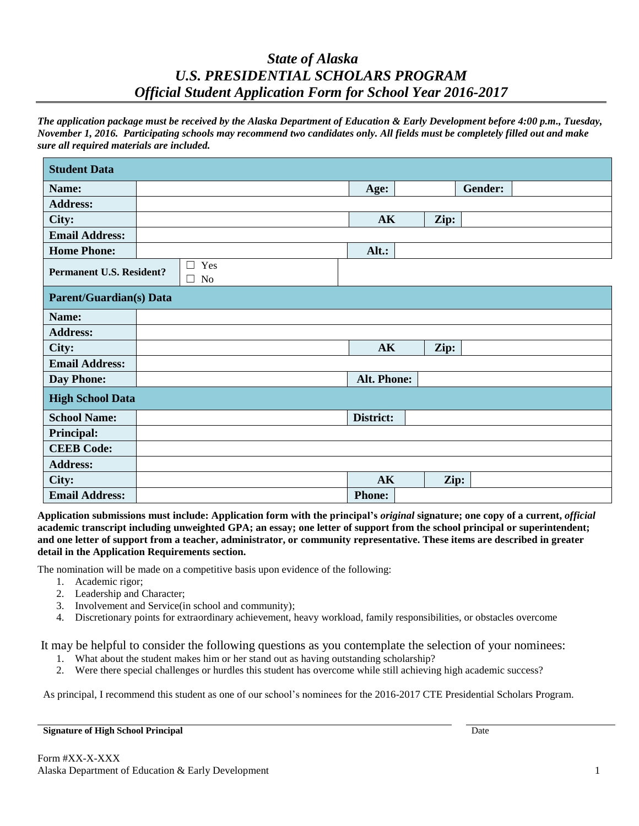## *State of Alaska U.S. PRESIDENTIAL SCHOLARS PROGRAM Official Student Application Form for School Year 2016-2017*

*The application package must be received by the Alaska Department of Education & Early Development before 4:00 p.m., Tuesday, November 1, 2016. Participating schools may recommend two candidates only. All fields must be completely filled out and make sure all required materials are included.*

| <b>Student Data</b>                                                    |  |  |  |  |               |  |      |                |  |  |  |
|------------------------------------------------------------------------|--|--|--|--|---------------|--|------|----------------|--|--|--|
| Name:                                                                  |  |  |  |  | Age:          |  |      | <b>Gender:</b> |  |  |  |
| <b>Address:</b>                                                        |  |  |  |  |               |  |      |                |  |  |  |
| City:                                                                  |  |  |  |  | AK            |  | Zip: |                |  |  |  |
| <b>Email Address:</b>                                                  |  |  |  |  |               |  |      |                |  |  |  |
| <b>Home Phone:</b>                                                     |  |  |  |  | Alt.:         |  |      |                |  |  |  |
| $\hfill\Box\hfill$ Yes<br><b>Permanent U.S. Resident?</b><br>$\Box$ No |  |  |  |  |               |  |      |                |  |  |  |
| <b>Parent/Guardian(s)</b> Data                                         |  |  |  |  |               |  |      |                |  |  |  |
| Name:                                                                  |  |  |  |  |               |  |      |                |  |  |  |
| <b>Address:</b>                                                        |  |  |  |  |               |  |      |                |  |  |  |
| City:                                                                  |  |  |  |  | AK            |  | Zip: |                |  |  |  |
| <b>Email Address:</b>                                                  |  |  |  |  |               |  |      |                |  |  |  |
| Day Phone:                                                             |  |  |  |  | Alt. Phone:   |  |      |                |  |  |  |
| <b>High School Data</b>                                                |  |  |  |  |               |  |      |                |  |  |  |
| <b>School Name:</b>                                                    |  |  |  |  | District:     |  |      |                |  |  |  |
| <b>Principal:</b>                                                      |  |  |  |  |               |  |      |                |  |  |  |
| <b>CEEB Code:</b>                                                      |  |  |  |  |               |  |      |                |  |  |  |
| <b>Address:</b>                                                        |  |  |  |  |               |  |      |                |  |  |  |
| City:                                                                  |  |  |  |  | AK            |  | Zip: |                |  |  |  |
| <b>Email Address:</b>                                                  |  |  |  |  | <b>Phone:</b> |  |      |                |  |  |  |

**Application submissions must include: Application form with the principal's** *original* **signature; one copy of a current,** *official* **academic transcript including unweighted GPA; an essay; one letter of support from the school principal or superintendent; and one letter of support from a teacher, administrator, or community representative. These items are described in greater detail in the Application Requirements section.**

The nomination will be made on a competitive basis upon evidence of the following:

- 1. Academic rigor;
- 2. Leadership and Character;
- 3. Involvement and Service(in school and community);
- 4. Discretionary points for extraordinary achievement, heavy workload, family responsibilities, or obstacles overcome

It may be helpful to consider the following questions as you contemplate the selection of your nominees:

- 1. What about the student makes him or her stand out as having outstanding scholarship?
- 2. Were there special challenges or hurdles this student has overcome while still achieving high academic success?

As principal, I recommend this student as one of our school's nominees for the 2016-2017 CTE Presidential Scholars Program.